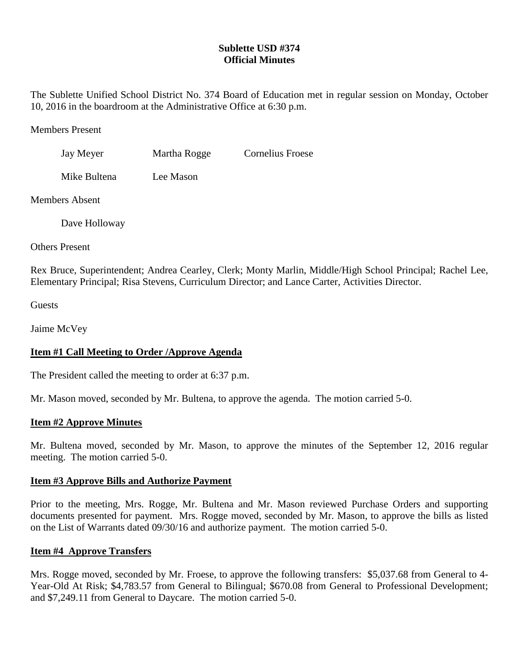# **Sublette USD #374 Official Minutes**

The Sublette Unified School District No. 374 Board of Education met in regular session on Monday, October 10, 2016 in the boardroom at the Administrative Office at 6:30 p.m.

Members Present

Jay Meyer Martha Rogge Cornelius Froese

Mike Bultena Lee Mason

Members Absent

Dave Holloway

Others Present

Rex Bruce, Superintendent; Andrea Cearley, Clerk; Monty Marlin, Middle/High School Principal; Rachel Lee, Elementary Principal; Risa Stevens, Curriculum Director; and Lance Carter, Activities Director.

Guests

Jaime McVey

# **Item #1 Call Meeting to Order /Approve Agenda**

The President called the meeting to order at 6:37 p.m.

Mr. Mason moved, seconded by Mr. Bultena, to approve the agenda. The motion carried 5-0.

## **Item #2 Approve Minutes**

Mr. Bultena moved, seconded by Mr. Mason, to approve the minutes of the September 12, 2016 regular meeting. The motion carried 5-0.

## **Item #3 Approve Bills and Authorize Payment**

Prior to the meeting, Mrs. Rogge, Mr. Bultena and Mr. Mason reviewed Purchase Orders and supporting documents presented for payment. Mrs. Rogge moved, seconded by Mr. Mason, to approve the bills as listed on the List of Warrants dated 09/30/16 and authorize payment. The motion carried 5-0.

## **Item #4 Approve Transfers**

Mrs. Rogge moved, seconded by Mr. Froese, to approve the following transfers: \$5,037.68 from General to 4- Year-Old At Risk; \$4,783.57 from General to Bilingual; \$670.08 from General to Professional Development; and \$7,249.11 from General to Daycare. The motion carried 5-0.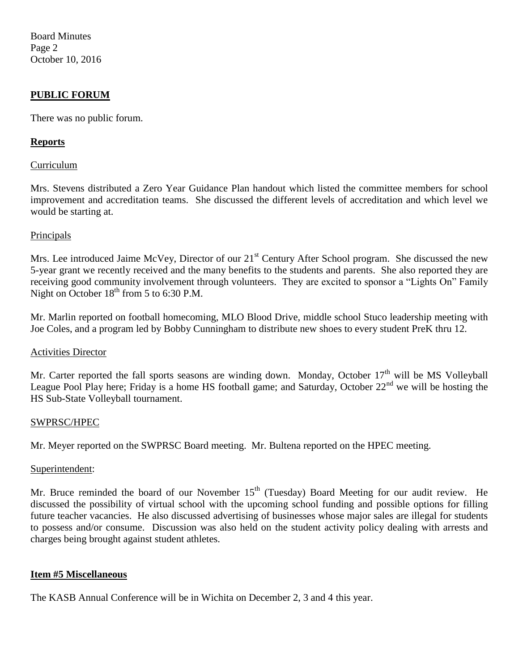Board Minutes Page 2 October 10, 2016

## **PUBLIC FORUM**

There was no public forum.

## **Reports**

#### Curriculum

Mrs. Stevens distributed a Zero Year Guidance Plan handout which listed the committee members for school improvement and accreditation teams. She discussed the different levels of accreditation and which level we would be starting at.

## Principals

Mrs. Lee introduced Jaime McVey, Director of our 21<sup>st</sup> Century After School program. She discussed the new 5-year grant we recently received and the many benefits to the students and parents. She also reported they are receiving good community involvement through volunteers. They are excited to sponsor a "Lights On" Family Night on October  $18<sup>th</sup>$  from 5 to 6:30 P.M.

Mr. Marlin reported on football homecoming, MLO Blood Drive, middle school Stuco leadership meeting with Joe Coles, and a program led by Bobby Cunningham to distribute new shoes to every student PreK thru 12.

#### Activities Director

Mr. Carter reported the fall sports seasons are winding down. Monday, October  $17<sup>th</sup>$  will be MS Volleyball League Pool Play here; Friday is a home HS football game; and Saturday, October 22<sup>nd</sup> we will be hosting the HS Sub-State Volleyball tournament.

#### SWPRSC/HPEC

Mr. Meyer reported on the SWPRSC Board meeting. Mr. Bultena reported on the HPEC meeting.

#### Superintendent:

Mr. Bruce reminded the board of our November 15<sup>th</sup> (Tuesday) Board Meeting for our audit review. He discussed the possibility of virtual school with the upcoming school funding and possible options for filling future teacher vacancies. He also discussed advertising of businesses whose major sales are illegal for students to possess and/or consume. Discussion was also held on the student activity policy dealing with arrests and charges being brought against student athletes.

## **Item #5 Miscellaneous**

The KASB Annual Conference will be in Wichita on December 2, 3 and 4 this year.